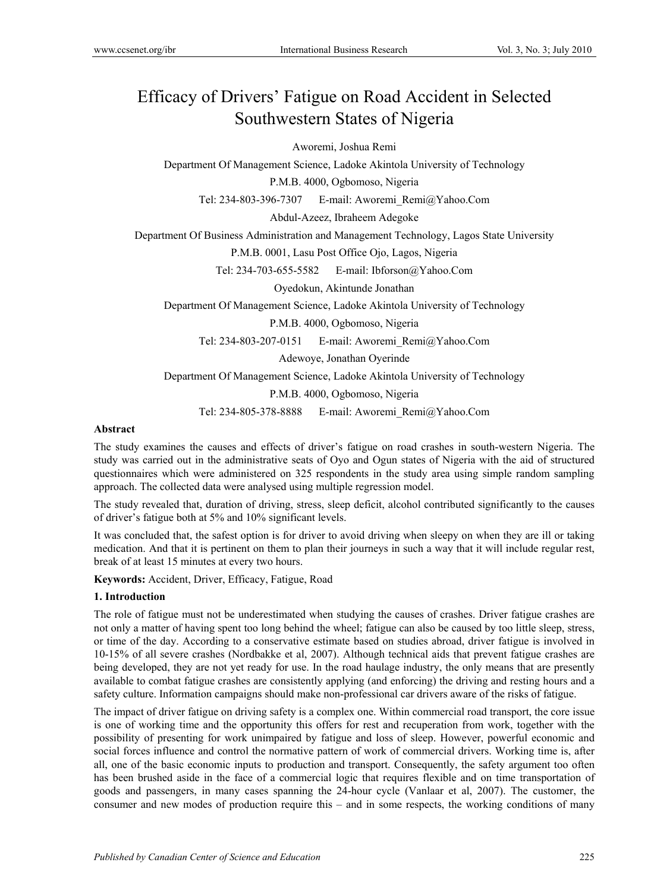# Efficacy of Drivers' Fatigue on Road Accident in Selected Southwestern States of Nigeria

Aworemi, Joshua Remi

Department Of Management Science, Ladoke Akintola University of Technology

P.M.B. 4000, Ogbomoso, Nigeria

Tel: 234-803-396-7307 E-mail: Aworemi\_Remi@Yahoo.Com

Abdul-Azeez, Ibraheem Adegoke

Department Of Business Administration and Management Technology, Lagos State University

P.M.B. 0001, Lasu Post Office Ojo, Lagos, Nigeria

Tel: 234-703-655-5582 E-mail: Ibforson@Yahoo.Com

Oyedokun, Akintunde Jonathan

Department Of Management Science, Ladoke Akintola University of Technology

P.M.B. 4000, Ogbomoso, Nigeria

Tel: 234-803-207-0151 E-mail: Aworemi\_Remi@Yahoo.Com

Adewoye, Jonathan Oyerinde

Department Of Management Science, Ladoke Akintola University of Technology

P.M.B. 4000, Ogbomoso, Nigeria

Tel: 234-805-378-8888 E-mail: Aworemi\_Remi@Yahoo.Com

#### **Abstract**

The study examines the causes and effects of driver's fatigue on road crashes in south-western Nigeria. The study was carried out in the administrative seats of Oyo and Ogun states of Nigeria with the aid of structured questionnaires which were administered on 325 respondents in the study area using simple random sampling approach. The collected data were analysed using multiple regression model.

The study revealed that, duration of driving, stress, sleep deficit, alcohol contributed significantly to the causes of driver's fatigue both at 5% and 10% significant levels.

It was concluded that, the safest option is for driver to avoid driving when sleepy on when they are ill or taking medication. And that it is pertinent on them to plan their journeys in such a way that it will include regular rest, break of at least 15 minutes at every two hours.

**Keywords:** Accident, Driver, Efficacy, Fatigue, Road

## **1. Introduction**

The role of fatigue must not be underestimated when studying the causes of crashes. Driver fatigue crashes are not only a matter of having spent too long behind the wheel; fatigue can also be caused by too little sleep, stress, or time of the day. According to a conservative estimate based on studies abroad, driver fatigue is involved in 10-15% of all severe crashes (Nordbakke et al, 2007). Although technical aids that prevent fatigue crashes are being developed, they are not yet ready for use. In the road haulage industry, the only means that are presently available to combat fatigue crashes are consistently applying (and enforcing) the driving and resting hours and a safety culture. Information campaigns should make non-professional car drivers aware of the risks of fatigue.

The impact of driver fatigue on driving safety is a complex one. Within commercial road transport, the core issue is one of working time and the opportunity this offers for rest and recuperation from work, together with the possibility of presenting for work unimpaired by fatigue and loss of sleep. However, powerful economic and social forces influence and control the normative pattern of work of commercial drivers. Working time is, after all, one of the basic economic inputs to production and transport. Consequently, the safety argument too often has been brushed aside in the face of a commercial logic that requires flexible and on time transportation of goods and passengers, in many cases spanning the 24-hour cycle (Vanlaar et al, 2007). The customer, the consumer and new modes of production require this – and in some respects, the working conditions of many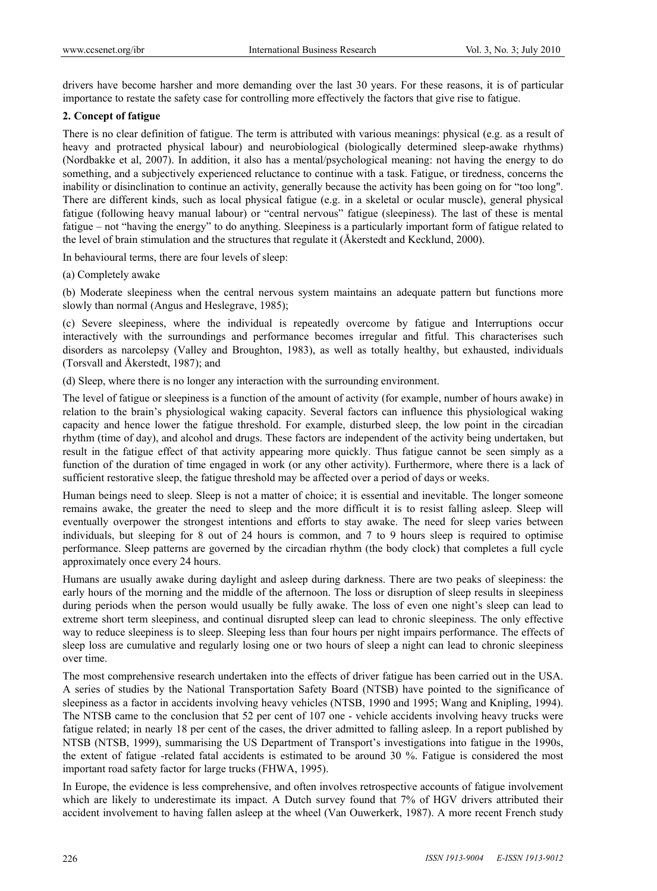drivers have become harsher and more demanding over the last 30 years. For these reasons, it is of particular importance to restate the safety case for controlling more effectively the factors that give rise to fatigue.

## **2. Concept of fatigue**

There is no clear definition of fatigue. The term is attributed with various meanings: physical (e.g. as a result of heavy and protracted physical labour) and neurobiological (biologically determined sleep-awake rhythms) (Nordbakke et al, 2007). In addition, it also has a mental/psychological meaning: not having the energy to do something, and a subjectively experienced reluctance to continue with a task. Fatigue, or tiredness, concerns the inability or disinclination to continue an activity, generally because the activity has been going on for "too long". There are different kinds, such as local physical fatigue (e.g. in a skeletal or ocular muscle), general physical fatigue (following heavy manual labour) or "central nervous" fatigue (sleepiness). The last of these is mental fatigue – not "having the energy" to do anything. Sleepiness is a particularly important form of fatigue related to the level of brain stimulation and the structures that regulate it (Åkerstedt and Kecklund, 2000).

In behavioural terms, there are four levels of sleep:

(a) Completely awake

(b) Moderate sleepiness when the central nervous system maintains an adequate pattern but functions more slowly than normal (Angus and Heslegrave, 1985);

(c) Severe sleepiness, where the individual is repeatedly overcome by fatigue and Interruptions occur interactively with the surroundings and performance becomes irregular and fitful. This characterises such disorders as narcolepsy (Valley and Broughton, 1983), as well as totally healthy, but exhausted, individuals (Torsvall and Åkerstedt, 1987); and

(d) Sleep, where there is no longer any interaction with the surrounding environment.

The level of fatigue or sleepiness is a function of the amount of activity (for example, number of hours awake) in relation to the brain's physiological waking capacity. Several factors can influence this physiological waking capacity and hence lower the fatigue threshold. For example, disturbed sleep, the low point in the circadian rhythm (time of day), and alcohol and drugs. These factors are independent of the activity being undertaken, but result in the fatigue effect of that activity appearing more quickly. Thus fatigue cannot be seen simply as a function of the duration of time engaged in work (or any other activity). Furthermore, where there is a lack of sufficient restorative sleep, the fatigue threshold may be affected over a period of days or weeks.

Human beings need to sleep. Sleep is not a matter of choice; it is essential and inevitable. The longer someone remains awake, the greater the need to sleep and the more difficult it is to resist falling asleep. Sleep will eventually overpower the strongest intentions and efforts to stay awake. The need for sleep varies between individuals, but sleeping for 8 out of 24 hours is common, and 7 to 9 hours sleep is required to optimise performance. Sleep patterns are governed by the circadian rhythm (the body clock) that completes a full cycle approximately once every 24 hours.

Humans are usually awake during daylight and asleep during darkness. There are two peaks of sleepiness: the early hours of the morning and the middle of the afternoon. The loss or disruption of sleep results in sleepiness during periods when the person would usually be fully awake. The loss of even one night's sleep can lead to extreme short term sleepiness, and continual disrupted sleep can lead to chronic sleepiness. The only effective way to reduce sleepiness is to sleep. Sleeping less than four hours per night impairs performance. The effects of sleep loss are cumulative and regularly losing one or two hours of sleep a night can lead to chronic sleepiness over time.

The most comprehensive research undertaken into the effects of driver fatigue has been carried out in the USA. A series of studies by the National Transportation Safety Board (NTSB) have pointed to the significance of sleepiness as a factor in accidents involving heavy vehicles (NTSB, 1990 and 1995; Wang and Knipling, 1994). The NTSB came to the conclusion that 52 per cent of 107 one - vehicle accidents involving heavy trucks were fatigue related; in nearly 18 per cent of the cases, the driver admitted to falling asleep. In a report published by NTSB (NTSB, 1999), summarising the US Department of Transport's investigations into fatigue in the 1990s, the extent of fatigue -related fatal accidents is estimated to be around 30 %. Fatigue is considered the most important road safety factor for large trucks (FHWA, 1995).

In Europe, the evidence is less comprehensive, and often involves retrospective accounts of fatigue involvement which are likely to underestimate its impact. A Dutch survey found that 7% of HGV drivers attributed their accident involvement to having fallen asleep at the wheel (Van Ouwerkerk, 1987). A more recent French study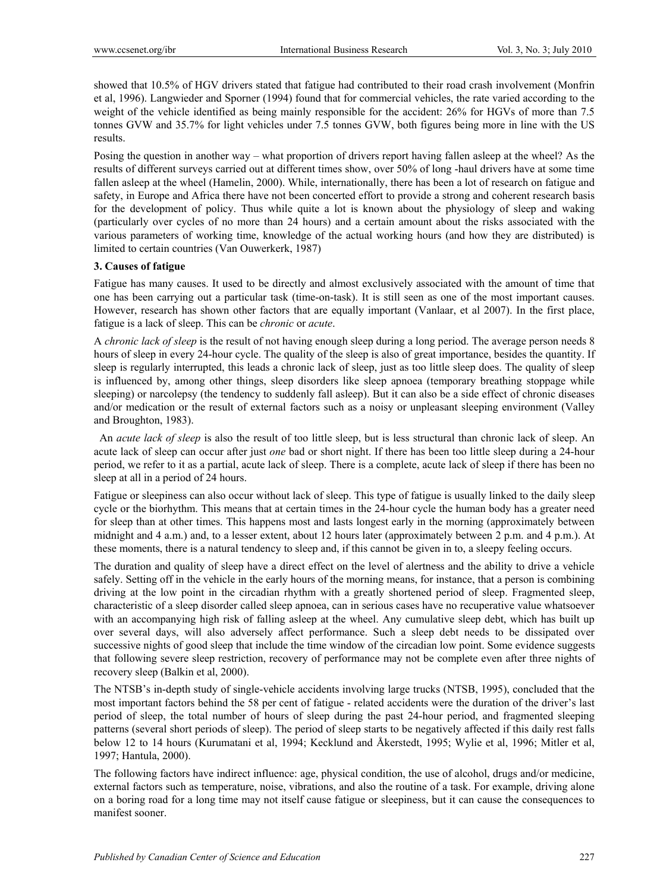showed that 10.5% of HGV drivers stated that fatigue had contributed to their road crash involvement (Monfrin et al, 1996). Langwieder and Sporner (1994) found that for commercial vehicles, the rate varied according to the weight of the vehicle identified as being mainly responsible for the accident: 26% for HGVs of more than 7.5 tonnes GVW and 35.7% for light vehicles under 7.5 tonnes GVW, both figures being more in line with the US results.

Posing the question in another way – what proportion of drivers report having fallen asleep at the wheel? As the results of different surveys carried out at different times show, over 50% of long -haul drivers have at some time fallen asleep at the wheel (Hamelin, 2000). While, internationally, there has been a lot of research on fatigue and safety, in Europe and Africa there have not been concerted effort to provide a strong and coherent research basis for the development of policy. Thus while quite a lot is known about the physiology of sleep and waking (particularly over cycles of no more than 24 hours) and a certain amount about the risks associated with the various parameters of working time, knowledge of the actual working hours (and how they are distributed) is limited to certain countries (Van Ouwerkerk, 1987)

#### **3. Causes of fatigue**

Fatigue has many causes. It used to be directly and almost exclusively associated with the amount of time that one has been carrying out a particular task (time-on-task). It is still seen as one of the most important causes. However, research has shown other factors that are equally important (Vanlaar, et al 2007). In the first place, fatigue is a lack of sleep. This can be *chronic* or *acute*.

A *chronic lack of sleep* is the result of not having enough sleep during a long period. The average person needs 8 hours of sleep in every 24-hour cycle. The quality of the sleep is also of great importance, besides the quantity. If sleep is regularly interrupted, this leads a chronic lack of sleep, just as too little sleep does. The quality of sleep is influenced by, among other things, sleep disorders like sleep apnoea (temporary breathing stoppage while sleeping) or narcolepsy (the tendency to suddenly fall asleep). But it can also be a side effect of chronic diseases and/or medication or the result of external factors such as a noisy or unpleasant sleeping environment (Valley and Broughton, 1983).

 An *acute lack of sleep* is also the result of too little sleep, but is less structural than chronic lack of sleep. An acute lack of sleep can occur after just *one* bad or short night. If there has been too little sleep during a 24-hour period, we refer to it as a partial, acute lack of sleep. There is a complete, acute lack of sleep if there has been no sleep at all in a period of 24 hours.

Fatigue or sleepiness can also occur without lack of sleep. This type of fatigue is usually linked to the daily sleep cycle or the biorhythm. This means that at certain times in the 24-hour cycle the human body has a greater need for sleep than at other times. This happens most and lasts longest early in the morning (approximately between midnight and 4 a.m.) and, to a lesser extent, about 12 hours later (approximately between 2 p.m. and 4 p.m.). At these moments, there is a natural tendency to sleep and, if this cannot be given in to, a sleepy feeling occurs.

The duration and quality of sleep have a direct effect on the level of alertness and the ability to drive a vehicle safely. Setting off in the vehicle in the early hours of the morning means, for instance, that a person is combining driving at the low point in the circadian rhythm with a greatly shortened period of sleep. Fragmented sleep, characteristic of a sleep disorder called sleep apnoea, can in serious cases have no recuperative value whatsoever with an accompanying high risk of falling asleep at the wheel. Any cumulative sleep debt, which has built up over several days, will also adversely affect performance. Such a sleep debt needs to be dissipated over successive nights of good sleep that include the time window of the circadian low point. Some evidence suggests that following severe sleep restriction, recovery of performance may not be complete even after three nights of recovery sleep (Balkin et al, 2000).

The NTSB's in-depth study of single-vehicle accidents involving large trucks (NTSB, 1995), concluded that the most important factors behind the 58 per cent of fatigue - related accidents were the duration of the driver's last period of sleep, the total number of hours of sleep during the past 24-hour period, and fragmented sleeping patterns (several short periods of sleep). The period of sleep starts to be negatively affected if this daily rest falls below 12 to 14 hours (Kurumatani et al, 1994; Kecklund and Åkerstedt, 1995; Wylie et al, 1996; Mitler et al, 1997; Hantula, 2000).

The following factors have indirect influence: age, physical condition, the use of alcohol, drugs and/or medicine, external factors such as temperature, noise, vibrations, and also the routine of a task. For example, driving alone on a boring road for a long time may not itself cause fatigue or sleepiness, but it can cause the consequences to manifest sooner.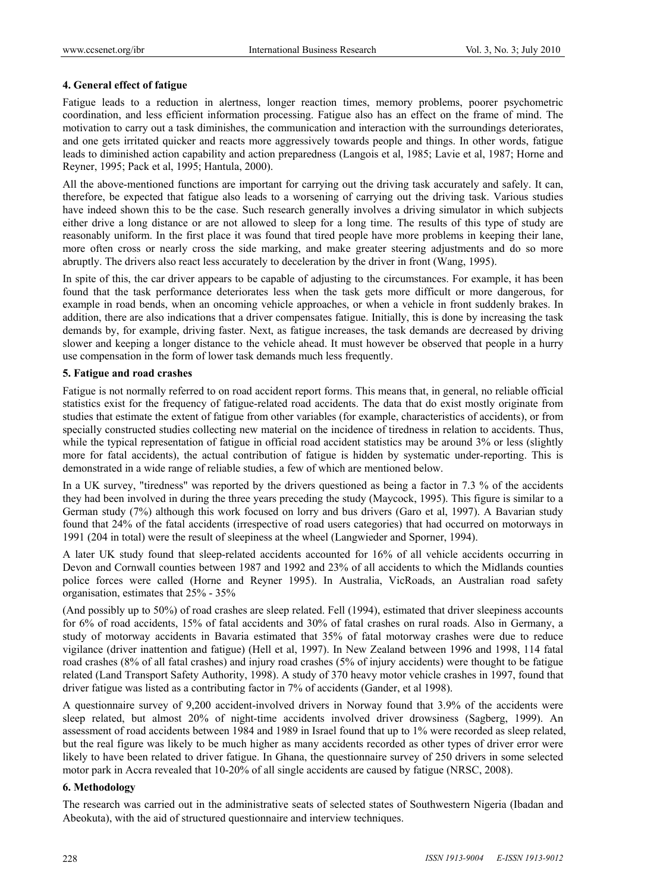#### **4. General effect of fatigue**

Fatigue leads to a reduction in alertness, longer reaction times, memory problems, poorer psychometric coordination, and less efficient information processing. Fatigue also has an effect on the frame of mind. The motivation to carry out a task diminishes, the communication and interaction with the surroundings deteriorates, and one gets irritated quicker and reacts more aggressively towards people and things. In other words, fatigue leads to diminished action capability and action preparedness (Langois et al, 1985; Lavie et al, 1987; Horne and Reyner, 1995; Pack et al, 1995; Hantula, 2000).

All the above-mentioned functions are important for carrying out the driving task accurately and safely. It can, therefore, be expected that fatigue also leads to a worsening of carrying out the driving task. Various studies have indeed shown this to be the case. Such research generally involves a driving simulator in which subjects either drive a long distance or are not allowed to sleep for a long time. The results of this type of study are reasonably uniform. In the first place it was found that tired people have more problems in keeping their lane, more often cross or nearly cross the side marking, and make greater steering adjustments and do so more abruptly. The drivers also react less accurately to deceleration by the driver in front (Wang, 1995).

In spite of this, the car driver appears to be capable of adjusting to the circumstances. For example, it has been found that the task performance deteriorates less when the task gets more difficult or more dangerous, for example in road bends, when an oncoming vehicle approaches, or when a vehicle in front suddenly brakes. In addition, there are also indications that a driver compensates fatigue. Initially, this is done by increasing the task demands by, for example, driving faster. Next, as fatigue increases, the task demands are decreased by driving slower and keeping a longer distance to the vehicle ahead. It must however be observed that people in a hurry use compensation in the form of lower task demands much less frequently.

## **5. Fatigue and road crashes**

Fatigue is not normally referred to on road accident report forms. This means that, in general, no reliable official statistics exist for the frequency of fatigue-related road accidents. The data that do exist mostly originate from studies that estimate the extent of fatigue from other variables (for example, characteristics of accidents), or from specially constructed studies collecting new material on the incidence of tiredness in relation to accidents. Thus, while the typical representation of fatigue in official road accident statistics may be around 3% or less (slightly more for fatal accidents), the actual contribution of fatigue is hidden by systematic under-reporting. This is demonstrated in a wide range of reliable studies, a few of which are mentioned below.

In a UK survey, "tiredness" was reported by the drivers questioned as being a factor in 7.3 % of the accidents they had been involved in during the three years preceding the study (Maycock, 1995). This figure is similar to a German study (7%) although this work focused on lorry and bus drivers (Garo et al, 1997). A Bavarian study found that 24% of the fatal accidents (irrespective of road users categories) that had occurred on motorways in 1991 (204 in total) were the result of sleepiness at the wheel (Langwieder and Sporner, 1994).

A later UK study found that sleep-related accidents accounted for 16% of all vehicle accidents occurring in Devon and Cornwall counties between 1987 and 1992 and 23% of all accidents to which the Midlands counties police forces were called (Horne and Reyner 1995). In Australia, VicRoads, an Australian road safety organisation, estimates that 25% - 35%

(And possibly up to 50%) of road crashes are sleep related. Fell (1994), estimated that driver sleepiness accounts for 6% of road accidents, 15% of fatal accidents and 30% of fatal crashes on rural roads. Also in Germany, a study of motorway accidents in Bavaria estimated that 35% of fatal motorway crashes were due to reduce vigilance (driver inattention and fatigue) (Hell et al, 1997). In New Zealand between 1996 and 1998, 114 fatal road crashes (8% of all fatal crashes) and injury road crashes (5% of injury accidents) were thought to be fatigue related (Land Transport Safety Authority, 1998). A study of 370 heavy motor vehicle crashes in 1997, found that driver fatigue was listed as a contributing factor in 7% of accidents (Gander, et al 1998).

A questionnaire survey of 9,200 accident-involved drivers in Norway found that 3.9% of the accidents were sleep related, but almost 20% of night-time accidents involved driver drowsiness (Sagberg, 1999). An assessment of road accidents between 1984 and 1989 in Israel found that up to 1% were recorded as sleep related, but the real figure was likely to be much higher as many accidents recorded as other types of driver error were likely to have been related to driver fatigue. In Ghana, the questionnaire survey of 250 drivers in some selected motor park in Accra revealed that 10-20% of all single accidents are caused by fatigue (NRSC, 2008).

## **6. Methodology**

The research was carried out in the administrative seats of selected states of Southwestern Nigeria (Ibadan and Abeokuta), with the aid of structured questionnaire and interview techniques.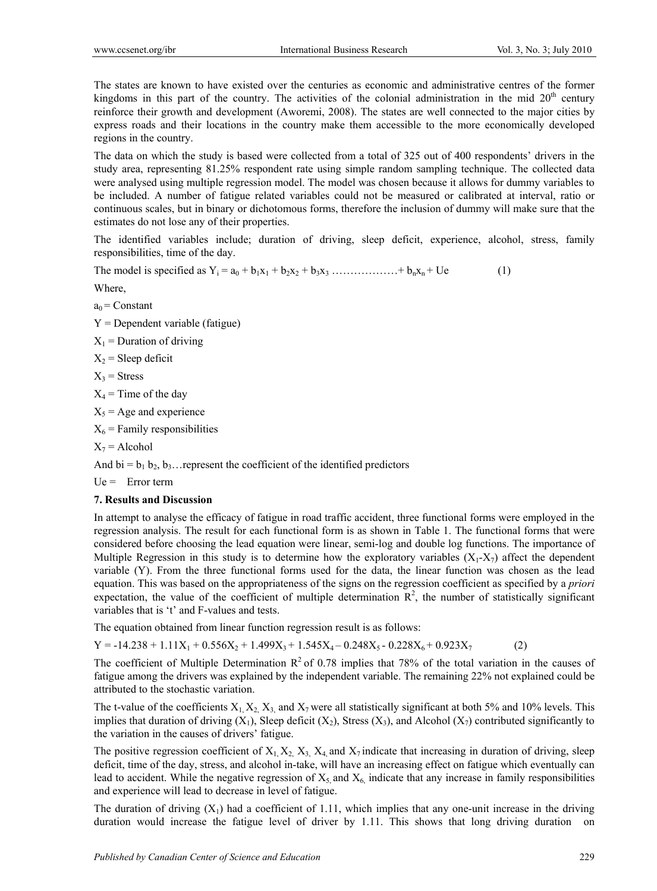The states are known to have existed over the centuries as economic and administrative centres of the former kingdoms in this part of the country. The activities of the colonial administration in the mid  $20<sup>th</sup>$  century reinforce their growth and development (Aworemi, 2008). The states are well connected to the major cities by express roads and their locations in the country make them accessible to the more economically developed regions in the country.

The data on which the study is based were collected from a total of 325 out of 400 respondents' drivers in the study area, representing 81.25% respondent rate using simple random sampling technique. The collected data were analysed using multiple regression model. The model was chosen because it allows for dummy variables to be included. A number of fatigue related variables could not be measured or calibrated at interval, ratio or continuous scales, but in binary or dichotomous forms, therefore the inclusion of dummy will make sure that the estimates do not lose any of their properties.

The identified variables include; duration of driving, sleep deficit, experience, alcohol, stress, family responsibilities, time of the day.

The model is specified as  $Y_1 = a_0 + b_1x_1 + b_2x_2 + b_3x_3 + \ldots + b_nx_n + Ue$  (1)

Where,

 $a_0$  = Constant

 $Y = Dependent variable (fatique)$ 

 $X_1$  = Duration of driving

 $X_2$  = Sleep deficit

 $X_3$  = Stress

 $X_4$  = Time of the day

 $X_5$  = Age and experience

 $X_6$  = Family responsibilities

 $X_7$  = Alcohol

And  $bi = b_1 b_2, b_3...$  represent the coefficient of the identified predictors

 $Ue =$  Error term

## **7. Results and Discussion**

In attempt to analyse the efficacy of fatigue in road traffic accident, three functional forms were employed in the regression analysis. The result for each functional form is as shown in Table 1. The functional forms that were considered before choosing the lead equation were linear, semi-log and double log functions. The importance of Multiple Regression in this study is to determine how the exploratory variables  $(X_1-X_7)$  affect the dependent variable (Y). From the three functional forms used for the data, the linear function was chosen as the lead equation. This was based on the appropriateness of the signs on the regression coefficient as specified by a *priori*  expectation, the value of the coefficient of multiple determination  $\mathbb{R}^2$ , the number of statistically significant variables that is 't' and F-values and tests.

The equation obtained from linear function regression result is as follows:

 $Y = -14.238 + 1.11X_1 + 0.556X_2 + 1.499X_3 + 1.545X_4 - 0.248X_5 - 0.228X_6 + 0.923X_7$  (2)

The coefficient of Multiple Determination  $R^2$  of 0.78 implies that 78% of the total variation in the causes of fatigue among the drivers was explained by the independent variable. The remaining 22% not explained could be attributed to the stochastic variation.

The t-value of the coefficients  $X_1, X_2, X_3$  and  $X_7$  were all statistically significant at both 5% and 10% levels. This implies that duration of driving  $(X_1)$ , Sleep deficit  $(X_2)$ , Stress  $(X_3)$ , and Alcohol  $(X_7)$  contributed significantly to the variation in the causes of drivers' fatigue.

The positive regression coefficient of  $X_1, X_2, X_3, X_4$  and  $X_7$  indicate that increasing in duration of driving, sleep deficit, time of the day, stress, and alcohol in-take, will have an increasing effect on fatigue which eventually can lead to accident. While the negative regression of  $X_5$  and  $X_6$  indicate that any increase in family responsibilities and experience will lead to decrease in level of fatigue.

The duration of driving  $(X_1)$  had a coefficient of 1.11, which implies that any one-unit increase in the driving duration would increase the fatigue level of driver by 1.11. This shows that long driving duration on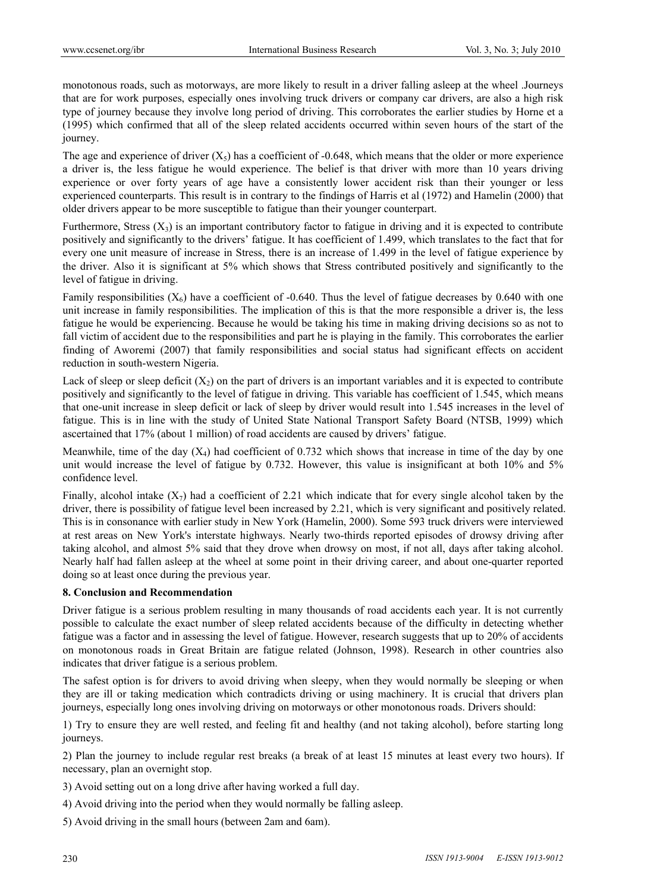monotonous roads, such as motorways, are more likely to result in a driver falling asleep at the wheel .Journeys that are for work purposes, especially ones involving truck drivers or company car drivers, are also a high risk type of journey because they involve long period of driving. This corroborates the earlier studies by Horne et a (1995) which confirmed that all of the sleep related accidents occurred within seven hours of the start of the journey.

The age and experience of driver  $(X_5)$  has a coefficient of -0.648, which means that the older or more experience a driver is, the less fatigue he would experience. The belief is that driver with more than 10 years driving experience or over forty years of age have a consistently lower accident risk than their younger or less experienced counterparts. This result is in contrary to the findings of Harris et al (1972) and Hamelin (2000) that older drivers appear to be more susceptible to fatigue than their younger counterpart.

Furthermore, Stress  $(X_3)$  is an important contributory factor to fatigue in driving and it is expected to contribute positively and significantly to the drivers' fatigue. It has coefficient of 1.499, which translates to the fact that for every one unit measure of increase in Stress, there is an increase of 1.499 in the level of fatigue experience by the driver. Also it is significant at 5% which shows that Stress contributed positively and significantly to the level of fatigue in driving.

Family responsibilities  $(X_6)$  have a coefficient of -0.640. Thus the level of fatigue decreases by 0.640 with one unit increase in family responsibilities. The implication of this is that the more responsible a driver is, the less fatigue he would be experiencing. Because he would be taking his time in making driving decisions so as not to fall victim of accident due to the responsibilities and part he is playing in the family. This corroborates the earlier finding of Aworemi (2007) that family responsibilities and social status had significant effects on accident reduction in south-western Nigeria.

Lack of sleep or sleep deficit  $(X_2)$  on the part of drivers is an important variables and it is expected to contribute positively and significantly to the level of fatigue in driving. This variable has coefficient of 1.545, which means that one-unit increase in sleep deficit or lack of sleep by driver would result into 1.545 increases in the level of fatigue. This is in line with the study of United State National Transport Safety Board (NTSB, 1999) which ascertained that 17% (about 1 million) of road accidents are caused by drivers' fatigue.

Meanwhile, time of the day  $(X_4)$  had coefficient of 0.732 which shows that increase in time of the day by one unit would increase the level of fatigue by 0.732. However, this value is insignificant at both 10% and 5% confidence level.

Finally, alcohol intake  $(X_7)$  had a coefficient of 2.21 which indicate that for every single alcohol taken by the driver, there is possibility of fatigue level been increased by 2.21, which is very significant and positively related. This is in consonance with earlier study in New York (Hamelin, 2000). Some 593 truck drivers were interviewed at rest areas on New York's interstate highways. Nearly two-thirds reported episodes of drowsy driving after taking alcohol, and almost 5% said that they drove when drowsy on most, if not all, days after taking alcohol. Nearly half had fallen asleep at the wheel at some point in their driving career, and about one-quarter reported doing so at least once during the previous year.

## **8. Conclusion and Recommendation**

Driver fatigue is a serious problem resulting in many thousands of road accidents each year. It is not currently possible to calculate the exact number of sleep related accidents because of the difficulty in detecting whether fatigue was a factor and in assessing the level of fatigue. However, research suggests that up to 20% of accidents on monotonous roads in Great Britain are fatigue related (Johnson, 1998). Research in other countries also indicates that driver fatigue is a serious problem.

The safest option is for drivers to avoid driving when sleepy, when they would normally be sleeping or when they are ill or taking medication which contradicts driving or using machinery. It is crucial that drivers plan journeys, especially long ones involving driving on motorways or other monotonous roads. Drivers should:

1) Try to ensure they are well rested, and feeling fit and healthy (and not taking alcohol), before starting long journeys.

2) Plan the journey to include regular rest breaks (a break of at least 15 minutes at least every two hours). If necessary, plan an overnight stop.

3) Avoid setting out on a long drive after having worked a full day.

4) Avoid driving into the period when they would normally be falling asleep.

5) Avoid driving in the small hours (between 2am and 6am).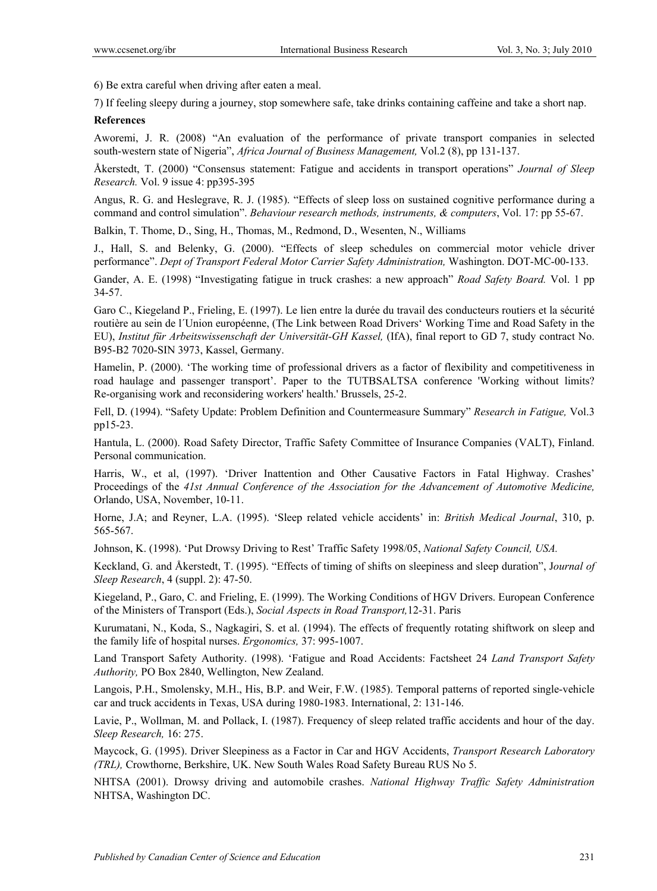6) Be extra careful when driving after eaten a meal.

7) If feeling sleepy during a journey, stop somewhere safe, take drinks containing caffeine and take a short nap.

#### **References**

Aworemi, J. R. (2008) "An evaluation of the performance of private transport companies in selected south-western state of Nigeria", *Africa Journal of Business Management,* Vol.2 (8), pp 131-137.

Åkerstedt, T. (2000) "Consensus statement: Fatigue and accidents in transport operations" *Journal of Sleep Research.* Vol. 9 issue 4: pp395-395

Angus, R. G. and Heslegrave, R. J. (1985). "Effects of sleep loss on sustained cognitive performance during a command and control simulation". *Behaviour research methods, instruments, & computers*, Vol. 17: pp 55-67.

Balkin, T. Thome, D., Sing, H., Thomas, M., Redmond, D., Wesenten, N., Williams

J., Hall, S. and Belenky, G. (2000). "Effects of sleep schedules on commercial motor vehicle driver performance". *Dept of Transport Federal Motor Carrier Safety Administration,* Washington. DOT-MC-00-133.

Gander, A. E. (1998) "Investigating fatigue in truck crashes: a new approach" *Road Safety Board.* Vol. 1 pp 34-57.

Garo C., Kiegeland P., Frieling, E. (1997). Le lien entre la durée du travail des conducteurs routiers et la sécurité routière au sein de l´Union européenne, (The Link between Road Drivers' Working Time and Road Safety in the EU), *Institut für Arbeitswissenschaft der Universität-GH Kassel,* (IfA), final report to GD 7, study contract No. B95-B2 7020-SIN 3973, Kassel, Germany.

Hamelin, P. (2000). 'The working time of professional drivers as a factor of flexibility and competitiveness in road haulage and passenger transport'. Paper to the TUTBSALTSA conference 'Working without limits? Re-organising work and reconsidering workers' health.' Brussels, 25-2.

Fell, D. (1994). "Safety Update: Problem Definition and Countermeasure Summary" *Research in Fatigue,* Vol.3 pp15-23.

Hantula, L. (2000). Road Safety Director, Traffic Safety Committee of Insurance Companies (VALT), Finland. Personal communication.

Harris, W., et al, (1997). 'Driver Inattention and Other Causative Factors in Fatal Highway. Crashes' Proceedings of the *41st Annual Conference of the Association for the Advancement of Automotive Medicine,* Orlando, USA, November, 10-11.

Horne, J.A; and Reyner, L.A. (1995). 'Sleep related vehicle accidents' in: *British Medical Journal*, 310, p. 565-567.

Johnson, K. (1998). 'Put Drowsy Driving to Rest' Traffic Safety 1998/05, *National Safety Council, USA.* 

Keckland, G. and Åkerstedt, T. (1995). "Effects of timing of shifts on sleepiness and sleep duration", J*ournal of Sleep Research*, 4 (suppl. 2): 47-50.

Kiegeland, P., Garo, C. and Frieling, E. (1999). The Working Conditions of HGV Drivers. European Conference of the Ministers of Transport (Eds.), *Social Aspects in Road Transport,*12-31. Paris

Kurumatani, N., Koda, S., Nagkagiri, S. et al. (1994). The effects of frequently rotating shiftwork on sleep and the family life of hospital nurses. *Ergonomics,* 37: 995-1007.

Land Transport Safety Authority. (1998). 'Fatigue and Road Accidents: Factsheet 24 *Land Transport Safety Authority,* PO Box 2840, Wellington, New Zealand.

Langois, P.H., Smolensky, M.H., His, B.P. and Weir, F.W. (1985). Temporal patterns of reported single-vehicle car and truck accidents in Texas, USA during 1980-1983. International, 2: 131-146.

Lavie, P., Wollman, M. and Pollack, I. (1987). Frequency of sleep related traffic accidents and hour of the day. *Sleep Research,* 16: 275.

Maycock, G. (1995). Driver Sleepiness as a Factor in Car and HGV Accidents, *Transport Research Laboratory (TRL),* Crowthorne, Berkshire, UK. New South Wales Road Safety Bureau RUS No 5.

NHTSA (2001). Drowsy driving and automobile crashes. *National Highway Traffic Safety Administration*  NHTSA, Washington DC.